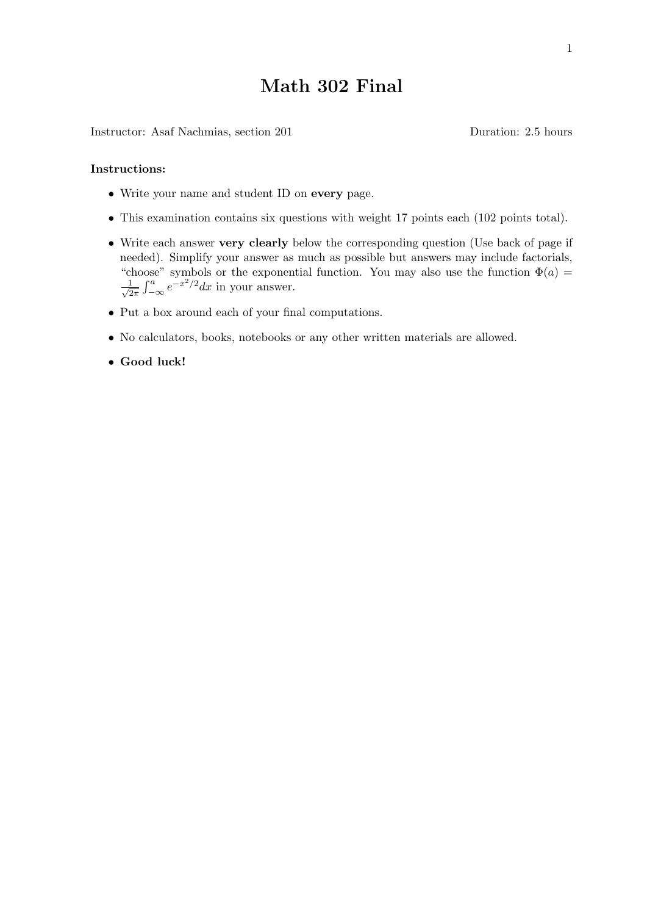## **Math 302 Final**

Instructor: Asaf Nachmias, section 201 Duration: 2.5 hours

## **Instructions:**

- *•* Write your name and student ID on **every** page.
- *•* This examination contains six questions with weight 17 points each (102 points total).
- *•* Write each answer **very clearly** below the corresponding question (Use back of page if needed). Simplify your answer as much as possible but answers may include factorials, "choose" symbols or the exponential function. You may also use the function  $\Phi(a)$  $\frac{1}{\sqrt{2}}$  $\frac{1}{2\pi} \int_{-\infty}^{a} e^{-x^2/2} dx$  in your answer.
- *•* Put a box around each of your final computations.
- *•* No calculators, books, notebooks or any other written materials are allowed.
- *•* **Good luck!**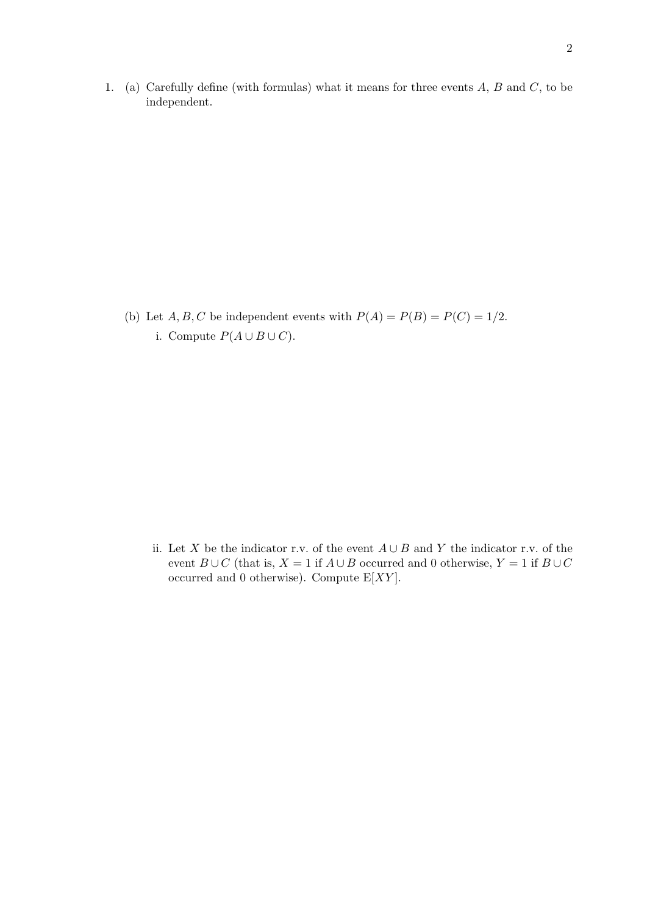1. (a) Carefully define (with formulas) what it means for three events *A*, *B* and *C*, to be independent.

(b) Let  $A, B, C$  be independent events with  $P(A) = P(B) = P(C) = 1/2$ . i. Compute  $P(A \cup B \cup C)$ .

ii. Let *X* be the indicator r.v. of the event *A ∪ B* and *Y* the indicator r.v. of the event  $B \cup C$  (that is,  $X = 1$  if  $A \cup B$  occurred and 0 otherwise,  $Y = 1$  if  $B \cup C$ occurred and 0 otherwise). Compute E[*XY* ].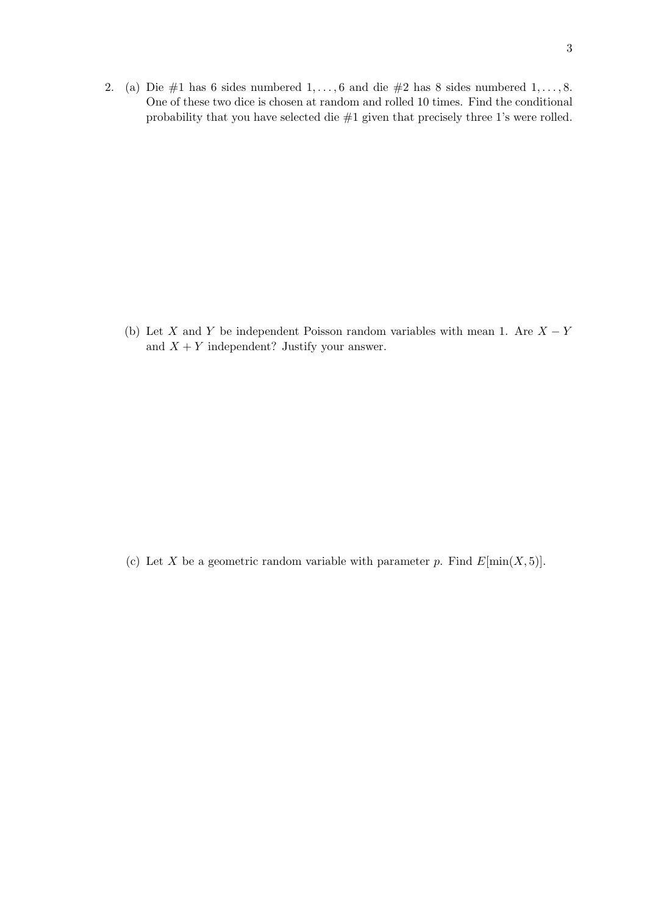2. (a) Die #1 has 6 sides numbered 1*, . . . ,* 6 and die #2 has 8 sides numbered 1*, . . . ,* 8. One of these two dice is chosen at random and rolled 10 times. Find the conditional probability that you have selected die #1 given that precisely three 1's were rolled.

(b) Let *X* and *Y* be independent Poisson random variables with mean 1. Are *X − Y* and  $X + Y$  independent? Justify your answer.

(c) Let *X* be a geometric random variable with parameter *p*. Find  $E[\min(X, 5)]$ .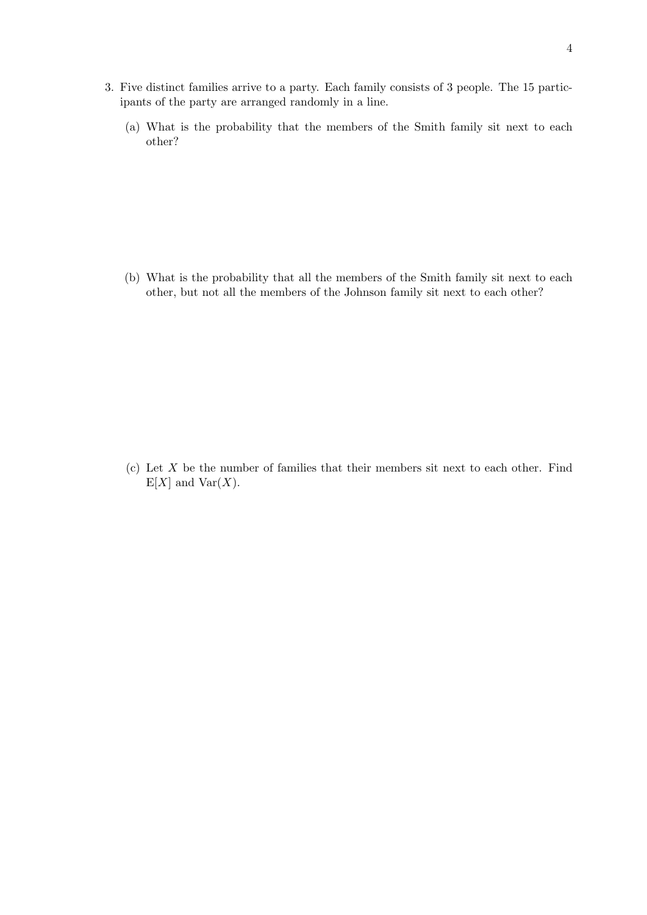- 3. Five distinct families arrive to a party. Each family consists of 3 people. The 15 participants of the party are arranged randomly in a line.
	- (a) What is the probability that the members of the Smith family sit next to each other?

(b) What is the probability that all the members of the Smith family sit next to each other, but not all the members of the Johnson family sit next to each other?

(c) Let *X* be the number of families that their members sit next to each other. Find  $E[X]$  and  $Var(X)$ .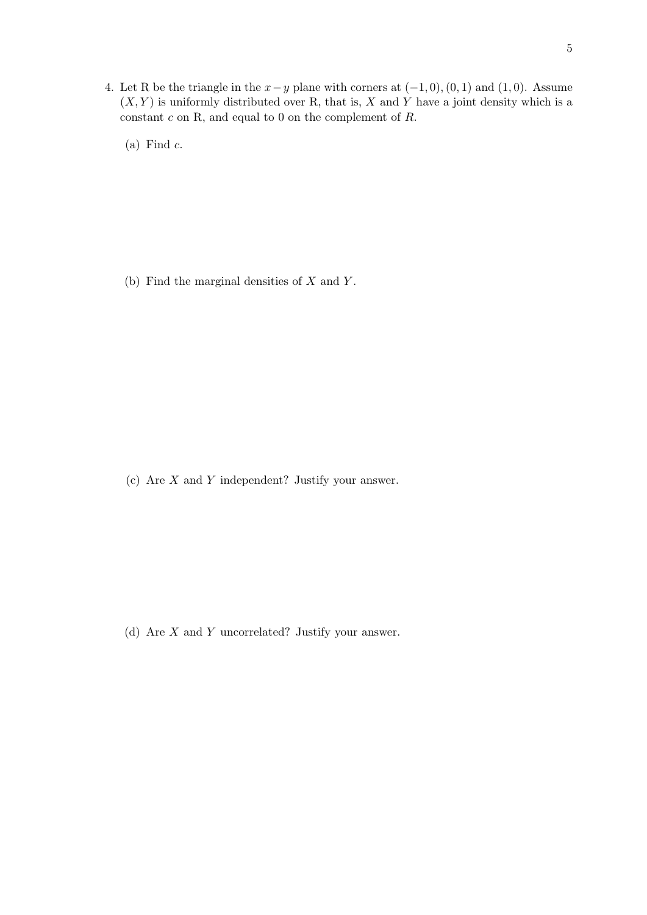4. Let R be the triangle in the *x−y* plane with corners at (*−*1*,* 0)*,*(0*,* 1) and (1*,* 0). Assume  $(X, Y)$  is uniformly distributed over R, that is, X and Y have a joint density which is a constant *c* on R, and equal to 0 on the complement of *R*.

(a) Find *c*.

(b) Find the marginal densities of *X* and *Y* .

(c) Are *X* and *Y* independent? Justify your answer.

(d) Are *X* and *Y* uncorrelated? Justify your answer.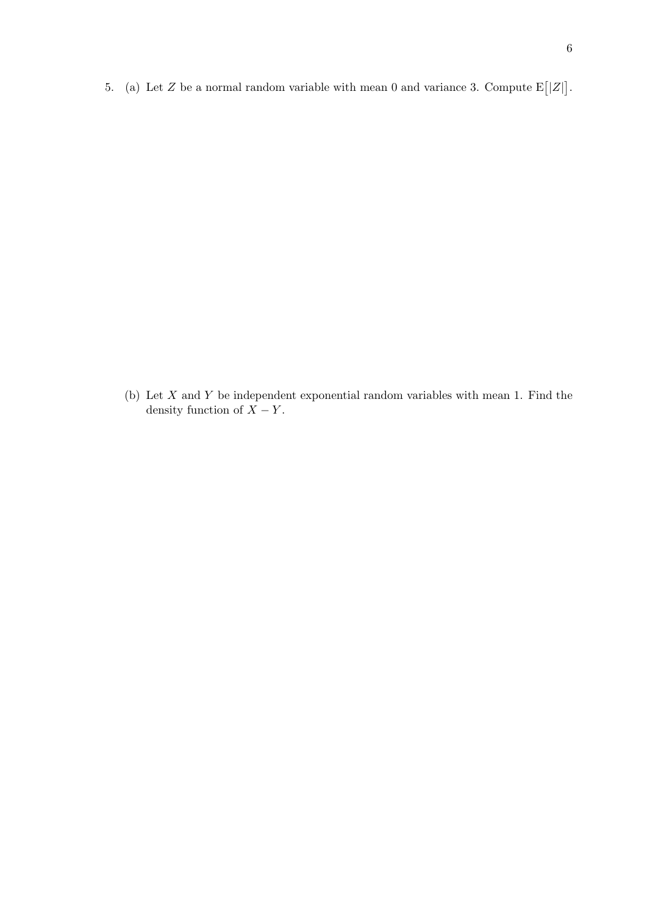5. (a) Let  $Z$  be a normal random variable with mean 0 and variance 3. Compute  $E[|Z|]$ .

(b) Let *X* and *Y* be independent exponential random variables with mean 1. Find the density function of  $X - Y$ .